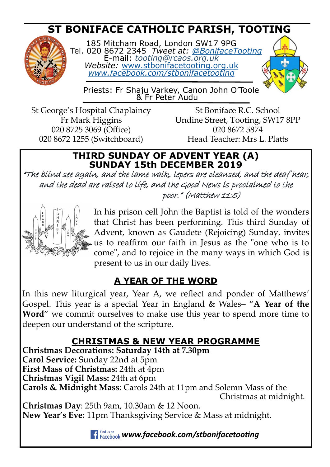# **ST BONIFACE CATHOLIC PARISH, TOOTING**



185 Mitcham Road, London SW17 9PG Tel. 020 8672 2345 *Tweet at: [@BonifaceTooting](http://twitter.com/bonifacetooting)* E-mail: *tooting@rcaos.org.uk Website:* [www.stbonifacetooting.org.uk](http://www.stbonifacetooting.org.uk) *[www.facebook.com/stbonifacetooting](http://www.facebook.com/stbonifacetooting)*



 Priests: Fr Shaju Varkey, Canon John O'Toole & Fr Peter Audu

St George's Hospital Chaplaincy Fr Mark Higgins 020 8725 3069 (Office) 020 8672 1255 (Switchboard)

St Boniface R.C. School Undine Street, Tooting, SW17 8PP 020 8672 5874 Head Teacher: Mrs L. Platts

### **THIRD SUNDAY OF ADVENT YEAR (A) SUNDAY 15th DECEMBER 2019**

"The blind see again, and the lame walk, lepers are cleansed, and the deaf hear, and the dead are raised to life, and the Good News is proclaimed to the poor." (Matthew 11:5)



In his prison cell John the Baptist is told of the wonders that Christ has been performing. This third Sunday of Advent, known as Gaudete (Rejoicing) Sunday, invites us to reaffirm our faith in Jesus as the "one who is to come", and to rejoice in the many ways in which God is present to us in our daily lives.

# **A YEAR OF THE WORD**

In this new liturgical year, Year A, we reflect and ponder of Matthews' Gospel. This year is a special Year in England & Wales– "**A Year of the Word**" we commit ourselves to make use this year to spend more time to deepen our understand of the scripture.

# **CHRISTMAS & NEW YEAR PROGRAMME**

**Christmas Decorations: Saturday 14th at 7.30pm Carol Service:** Sunday 22nd at 5pm First Mass of Christmas: 24th at 4pm **Christmas Vigil Mass:** 24th at 6pm **Carols & Midnight Mass**: Carols 24th at 11pm and Solemn Mass of the Christmas at midnight. **Christmas Day**: 25th 9am, 10.30am & 12 Noon.

**New Year's Eve:** 11pm Thanksgiving Service & Mass at midnight.

# *www.facebook.com/stbonifacetooting*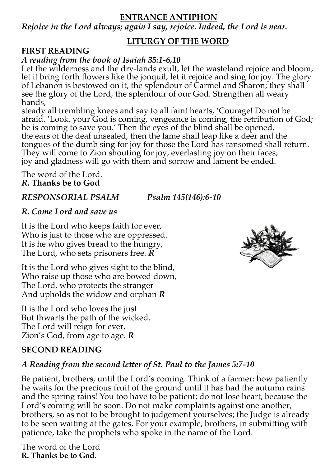### **ENTRANCE ANTIPHON**

*Rejoice in the Lord always; again I say, rejoice. Indeed, the Lord is near.* 

### **LITURGY OF THE WORD**

### **FIRST READING**

### *A reading from the book of Isaiah 35:1-6,10*

Let the wilderness and the dry-lands exult, let the wasteland rejoice and bloom, let it bring forth flowers like the jonquil, let it rejoice and sing for joy. The glory of Lebanon is bestowed on it, the splendour of Carmel and Sharon; they shall see the glory of the Lord, the splendour of our God. Strengthen all weary hands,

steady all trembling knees and say to all faint hearts, 'Courage! Do not be afraid. 'Look, your God is coming, vengeance is coming, the retribution of God; he is coming to save you.' Then the eyes of the blind shall be opened, the ears of the deaf unsealed, then the lame shall leap like a deer and the tongues of the dumb sing for joy for those the Lord has ransomed shall return. They will come to Zion shouting for joy, everlasting joy on their faces; joy and gladness will go with them and sorrow and lament be ended.

The word of the Lord. *R***. Thanks be to God**

### *RESPONSORIAL PSALM Psalm 145(146):6-10*

### *R. Come Lord and save us*

It is the Lord who keeps faith for ever, Who is just to those who are oppressed. It is he who gives bread to the hungry, The Lord, who sets prisoners free. *R*

It is the Lord who gives sight to the blind, Who raise up those who are bowed down, The Lord, who protects the stranger And upholds the widow and orphan *R*

It is the Lord who loves the just But thwarts the path of the wicked. The Lord will reign for ever, Zion's God, from age to age. *R*

# **SECOND READING**

# *A Reading from the second letter of St. Paul to the James 5:7-10*

Be patient, brothers, until the Lord's coming. Think of a farmer: how patiently he waits for the precious fruit of the ground until it has had the autumn rains and the spring rains! You too have to be patient; do not lose heart, because the Lord's coming will be soon. Do not make complaints against one another, brothers, so as not to be brought to judgement yourselves; the Judge is already to be seen waiting at the gates. For your example, brothers, in submitting with patience, take the prophets who spoke in the name of the Lord.

The word of the Lord **R. Thanks be to God**.

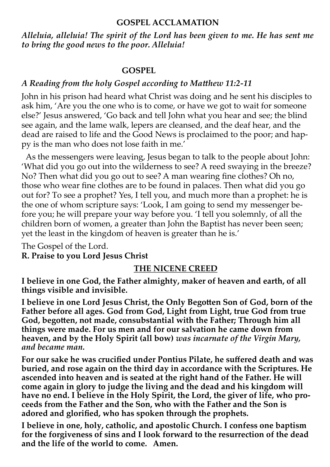#### **GOSPEL ACCLAMATION**

*Alleluia, alleluia! The spirit of the Lord has been given to me. He has sent me to bring the good news to the poor. Alleluia!*

### **GOSPEL**

#### *A Reading from the holy Gospel according to Matthew 11:2-11*

John in his prison had heard what Christ was doing and he sent his disciples to ask him, 'Are you the one who is to come, or have we got to wait for someone else?' Jesus answered, 'Go back and tell John what you hear and see; the blind see again, and the lame walk, lepers are cleansed, and the deaf hear, and the dead are raised to life and the Good News is proclaimed to the poor; and happy is the man who does not lose faith in me.'

 As the messengers were leaving, Jesus began to talk to the people about John: 'What did you go out into the wilderness to see? A reed swaying in the breeze? No? Then what did you go out to see? A man wearing fine clothes? Oh no, those who wear fine clothes are to be found in palaces. Then what did you go out for? To see a prophet? Yes, I tell you, and much more than a prophet: he is the one of whom scripture says: 'Look, I am going to send my messenger before you; he will prepare your way before you. 'I tell you solemnly, of all the children born of women, a greater than John the Baptist has never been seen; yet the least in the kingdom of heaven is greater than he is.'

The Gospel of the Lord. **R. Praise to you Lord Jesus Christ**

### **THE NICENE CREED**

**I believe in one God, the Father almighty, maker of heaven and earth, of all things visible and invisible.**

**I believe in one Lord Jesus Christ, the Only Begotten Son of God, born of the Father before all ages. God from God, Light from Light, true God from true God, begotten, not made, consubstantial with the Father; Through him all things were made. For us men and for our salvation he came down from heaven, and by the Holy Spirit (all bow)** *was incarnate of the Virgin Mary, and became man.* 

**For our sake he was crucified under Pontius Pilate, he suffered death and was buried, and rose again on the third day in accordance with the Scriptures. He ascended into heaven and is seated at the right hand of the Father. He will come again in glory to judge the living and the dead and his kingdom will have no end. I believe in the Holy Spirit, the Lord, the giver of life, who proceeds from the Father and the Son, who with the Father and the Son is adored and glorified, who has spoken through the prophets.** 

**I believe in one, holy, catholic, and apostolic Church. I confess one baptism for the forgiveness of sins and I look forward to the resurrection of the dead and the life of the world to come. Amen.**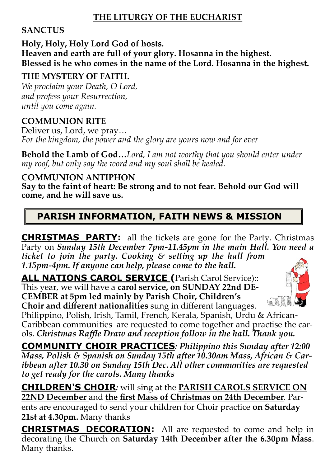# **THE LITURGY OF THE EUCHARIST**

# **SANCTUS**

**Holy, Holy, Holy Lord God of hosts. Heaven and earth are full of your glory. Hosanna in the highest. Blessed is he who comes in the name of the Lord. Hosanna in the highest.**

# **THE MYSTERY OF FAITH.**

*We proclaim your Death, O Lord, and profess your Resurrection, until you come again.* 

# **COMMUNION RITE**

Deliver us, Lord, we pray… *For the kingdom, the power and the glory are yours now and for ever*

**Behold the Lamb of God…***Lord, I am not worthy that you should enter under my roof, but only say the word and my soul shall be healed.*

# **COMMUNION ANTIPHON**

**Say to the faint of heart: Be strong and to not fear. Behold our God will come, and he will save us.** 

# **PARISH INFORMATION, FAITH NEWS & MISSION**

**CHRISTMAS PARTY:** all the tickets are gone for the Party. Christmas Party on *Sunday 15th December 7pm-11.45pm in the main Hall. You need a ticket to join the party. Cooking & setting up the hall from 1.15pm-4pm. If anyone can help, please come to the hall.*

**ALL NATIONS CAROL SERVICE (**Parish Carol Service):: This year, we will have a **carol service, on SUNDAY 22nd DE-CEMBER at 5pm led mainly by Parish Choir, Children's Choir and different nationalities** sung in different languages.



Philippino, Polish, Irish, Tamil, French, Kerala, Spanish, Urdu & African-Caribbean communities are requested to come together and practise the carols. *Christmas Raffle Draw and reception follow in the hall. Thank you.*

**COMMUNITY CHOIR PRACTICES***: Philippino this Sunday after 12:00 Mass, Polish & Spanish on Sunday 15th after 10.30am Mass, African & Caribbean after 10.30 on Sunday 15th Dec. All other communities are requested to get ready for the carols. Many thanks*

**CHILDREN'S CHOIR***:* will sing at the **PARISH CAROLS SERVICE ON 22ND December** and **the first Mass of Christmas on 24th December**. Parents are encouraged to send your children for Choir practice **on Saturday 21st at 4.30pm.** Many thanks

**CHRISTMAS DECORATION:** All are requested to come and help in decorating the Church on **Saturday 14th December after the 6.30pm Mass**. Many thanks.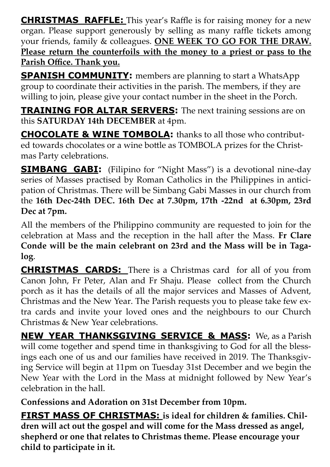**CHRISTMAS RAFFLE:** This year's Raffle is for raising money for a new organ. Please support generously by selling as many raffle tickets among your friends, family & colleagues. **ONE WEEK TO GO FOR THE DRAW. Please return the counterfoils with the money to a priest or pass to the Parish Office. Thank you.** 

**SPANISH COMMUNITY:** members are planning to start a WhatsApp group to coordinate their activities in the parish. The members, if they are willing to join, please give your contact number in the sheet in the Porch.

**TRAINING FOR ALTAR SERVERS:** The next training sessions are on this **SATURDAY 14th DECEMBER** at 4pm.

**CHOCOLATE & WINE TOMBOLA:** thanks to all those who contributed towards chocolates or a wine bottle as TOMBOLA prizes for the Christmas Party celebrations.

**SIMBANG GABI:** (Filipino for "Night Mass") is a devotional nine-day series of Masses practised by Roman Catholics in the Philippines in anticipation of Christmas. There will be Simbang Gabi Masses in our church from the **16th Dec-24th DEC. 16th Dec at 7.30pm, 17th -22nd at 6.30pm, 23rd Dec at 7pm.** 

All the members of the Philippino community are requested to join for the celebration at Mass and the reception in the hall after the Mass. **Fr Clare Conde will be the main celebrant on 23rd and the Mass will be in Tagalog**.

**CHRISTMAS CARDS:** There is a Christmas card for all of you from Canon John, Fr Peter, Alan and Fr Shaju. Please collect from the Church porch as it has the details of all the major services and Masses of Advent, Christmas and the New Year. The Parish requests you to please take few extra cards and invite your loved ones and the neighbours to our Church Christmas & New Year celebrations.

**NEW YEAR THANKSGIVING SERVICE & MASS:** We, as a Parish will come together and spend time in thanksgiving to God for all the blessings each one of us and our families have received in 2019. The Thanksgiving Service will begin at 11pm on Tuesday 31st December and we begin the New Year with the Lord in the Mass at midnight followed by New Year's celebration in the hall.

**Confessions and Adoration on 31st December from 10pm.**

**FIRST MASS OF CHRISTMAS: is ideal for children & families. Children will act out the gospel and will come for the Mass dressed as angel, shepherd or one that relates to Christmas theme. Please encourage your child to participate in it.**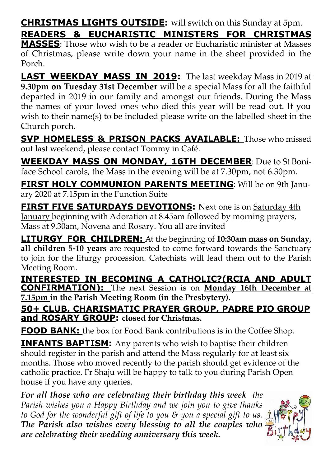**CHRISTMAS LIGHTS OUTSIDE:** will switch on this Sunday at 5pm. **READERS & EUCHARISTIC MINISTERS FOR CHRISTMAS** 

**MASSES**: Those who wish to be a reader or Eucharistic minister at Masses of Christmas, please write down your name in the sheet provided in the Porch.

**LAST WEEKDAY MASS IN 2019:** The last weekday Mass in 2019 at **9.30pm on Tuesday 31st December** will be a special Mass for all the faithful departed in 2019 in our family and amongst our friends. During the Mass the names of your loved ones who died this year will be read out. If you wish to their name(s) to be included please write on the labelled sheet in the Church porch.

**SVP HOMELESS & PRISON PACKS AVAILABLE:** Those who missed out last weekend, please contact Tommy in Café.

**WEEKDAY MASS ON MONDAY, 16TH DECEMBER**: Due to St Boniface School carols, the Mass in the evening will be at 7.30pm, not 6.30pm.

**FIRST HOLY COMMUNION PARENTS MEETING**: Will be on 9th January 2020 at 7.15pm in the Function Suite

**FIRST FIVE SATURDAYS DEVOTIONS:** Next one is on Saturday 4th January beginning with Adoration at 8.45am followed by morning prayers, Mass at 9.30am, Novena and Rosary. You all are invited

**LITURGY FOR CHILDREN:** At the beginning of **10:30am mass on Sunday, all children 5-10 years** are requested to come forward towards the Sanctuary to join for the liturgy procession. Catechists will lead them out to the Parish Meeting Room.

**INTERESTED IN BECOMING A CATHOLIC?(RCIA AND ADULT CONFIRMATION):** The next Session is on **Monday 16th December at 7.15pm in the Parish Meeting Room (in the Presbytery).**

**50+ CLUB, CHARISMATIC PRAYER GROUP, PADRE PIO GROUP and ROSARY GROUP: closed for Christmas.** 

**FOOD BANK:** the box for Food Bank contributions is in the Coffee Shop.

**INFANTS BAPTISM:** Any parents who wish to baptise their children should register in the parish and attend the Mass regularly for at least six months. Those who moved recently to the parish should get evidence of the catholic practice. Fr Shaju will be happy to talk to you during Parish Open house if you have any queries.

*For all those who are celebrating their birthday this week the Parish wishes you a Happy Birthday and we join you to give thanks to God for the wonderful gift of life to you & you a special gift to us. The Parish also wishes every blessing to all the couples who are celebrating their wedding anniversary this week.*

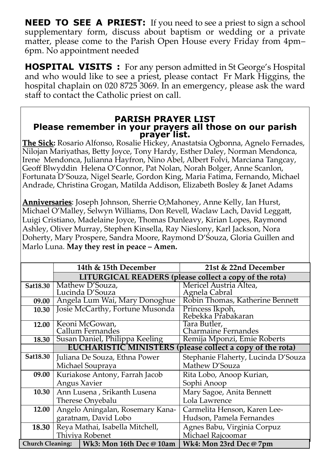**NEED TO SEE A PRIEST:** If you need to see a priest to sign a school supplementary form, discuss about baptism or wedding or a private matter, please come to the Parish Open House every Friday from 4pm– 6pm. No appointment needed

**HOSPITAL VISITS :** For any person admitted in St George's Hospital and who would like to see a priest, please contact Fr Mark Higgins, the hospital chaplain on 020 8725 3069. In an emergency, please ask the ward staff to contact the Catholic priest on call.

#### **PARISH PRAYER LIST Please remember in your prayers all those on our parish prayer list.**

**The Sick:** Rosario Alfonso, Rosalie Hickey, Anastatsia Ogbonna, Agnelo Fernades, Nilojan Mariyathas, Betty Joyce, Tony Hardy, Esther Daley, Norman Mendonca, Irene Mendonca, Julianna Hayfron, Nino Abel, Albert Folvi, Marciana Tangcay, Geoff Blwyddin Helena O'Connor, Pat Nolan, Norah Bolger, Anne Scanlon, Fortunata D'Souza, Nigel Searle, Gordon King, Maria Fatima, Fernando, Michael Andrade, Christina Grogan, Matilda Addison, Elizabeth Bosley & Janet Adams

**Anniversaries**: Joseph Johnson, Sherrie O;Mahoney, Anne Kelly, Ian Hurst, Michael O'Malley, Selwyn Williams, Don Revell, Waclaw Lach, David Leggatt, Luigi Cristiano, Madelaine Joyce, Thomas Dunleavy, Kirian Lopes, Raymond Ashley, Oliver Murray, Stephen Kinsella, Ray Nieslony, Karl Jackson, Nora Doherty, Mary Prospere, Sandra Moore, Raymond D'Souza, Gloria Guillen and Marlo Luna. **May they rest in peace – Amen.**

|          |                                                                     | 14th & 15th December                        | 21st & 22nd December                  |  |  |
|----------|---------------------------------------------------------------------|---------------------------------------------|---------------------------------------|--|--|
|          | LITURGICAL READERS (please collect a copy of the rota)              |                                             |                                       |  |  |
| Sat18.30 |                                                                     | Mathew D'Souza,                             | Mericel Austria Altea,                |  |  |
|          |                                                                     | Lucinda D'Souza                             | Agnela Cabral                         |  |  |
| 09.00    |                                                                     | Angela Lum Wai, Mary Donoghue               | Robin Thomas, Katherine Bennett       |  |  |
| 10.30    |                                                                     | Josie McCarthy, Fortune Musonda             | Princess Ikpoh,<br>Rebekka Prabakaran |  |  |
|          |                                                                     |                                             |                                       |  |  |
| 12.00    |                                                                     | Keoni McGowan,                              | Tara Butler,                          |  |  |
|          |                                                                     | <b>Callum Fernandes</b>                     | <b>Charmaine Fernandes</b>            |  |  |
| 18.30    |                                                                     | Susan Daniel, Philippa Keeling              | Remija Mponzi, Emie Roberts           |  |  |
|          | <b>EUCHARISTIC MINISTERS</b><br>(please collect a copy of the rota) |                                             |                                       |  |  |
| Sat18.30 |                                                                     | Juliana De Souza, Ethna Power               | Stephanie Flaherty, Lucinda D'Souza   |  |  |
|          | Mathew D'Souza<br>Michael Soupraya                                  |                                             |                                       |  |  |
| 09.00    |                                                                     | Kuriakose Antony, Farrah Jacob              | Rita Lobo, Anoop Kurian,              |  |  |
|          |                                                                     | Angus Xavier                                | Sophi Anoop                           |  |  |
| 10.30    |                                                                     | Ann Lusena, Srikanth Lusena                 | Mary Sagoe, Anita Bennett             |  |  |
|          | Therese Onyebalu                                                    |                                             | Lola Lawrence                         |  |  |
| 12.00    | Angelo Aningalan, Rosemary Kana-                                    |                                             | Carmelita Henson, Karen Lee-          |  |  |
|          | garatnam, David Lobo<br>Hudson, Pamela Fernandes                    |                                             |                                       |  |  |
| 18.30    | Reya Mathai, Isabella Mitchell,                                     |                                             | Agnes Babu, Virginia Corpuz           |  |  |
|          | Thiviya Robenet                                                     |                                             | Michael Rajcoomar                     |  |  |
|          |                                                                     | Church Cleaning:   Wk3: Mon 16th Dec @ 10am | Wk4: Mon 23rd Dec @ 7pm               |  |  |